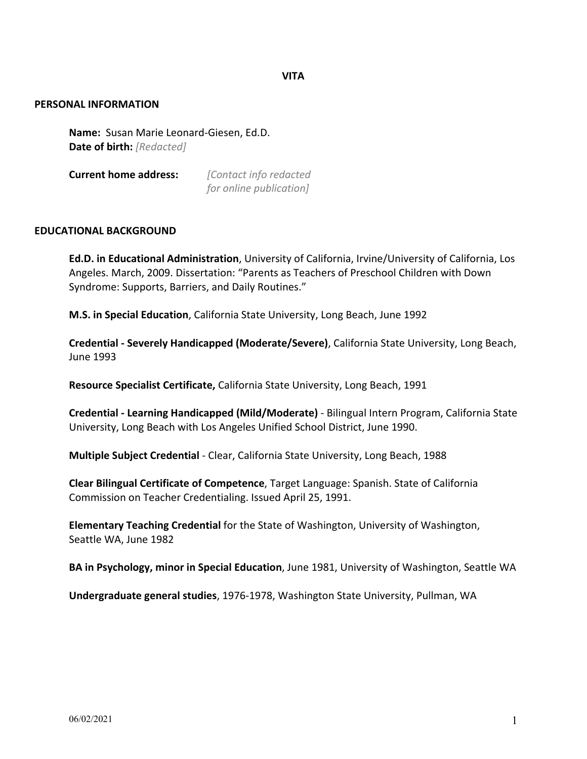**VITA**

### **PERSONAL INFORMATION**

**Name:** Susan Marie Leonard-Giesen, Ed.D. **Date of birth:** *[Redacted]*

**Current home address:** *[Contact info redacted* 

*for online publication]*

# **EDUCATIONAL BACKGROUND**

**Ed.D. in Educational Administration**, University of California, Irvine/University of California, Los Angeles. March, 2009. Dissertation: "Parents as Teachers of Preschool Children with Down Syndrome: Supports, Barriers, and Daily Routines."

**M.S. in Special Education**, California State University, Long Beach, June 1992

**Credential - Severely Handicapped (Moderate/Severe)**, California State University, Long Beach, June 1993

**Resource Specialist Certificate,** California State University, Long Beach, 1991

**Credential - Learning Handicapped (Mild/Moderate)** - Bilingual Intern Program, California State University, Long Beach with Los Angeles Unified School District, June 1990.

**Multiple Subject Credential** - Clear, California State University, Long Beach, 1988

**Clear Bilingual Certificate of Competence**, Target Language: Spanish. State of California Commission on Teacher Credentialing. Issued April 25, 1991.

**Elementary Teaching Credential** for the State of Washington, University of Washington, Seattle WA, June 1982

**BA in Psychology, minor in Special Education**, June 1981, University of Washington, Seattle WA

**Undergraduate general studies**, 1976-1978, Washington State University, Pullman, WA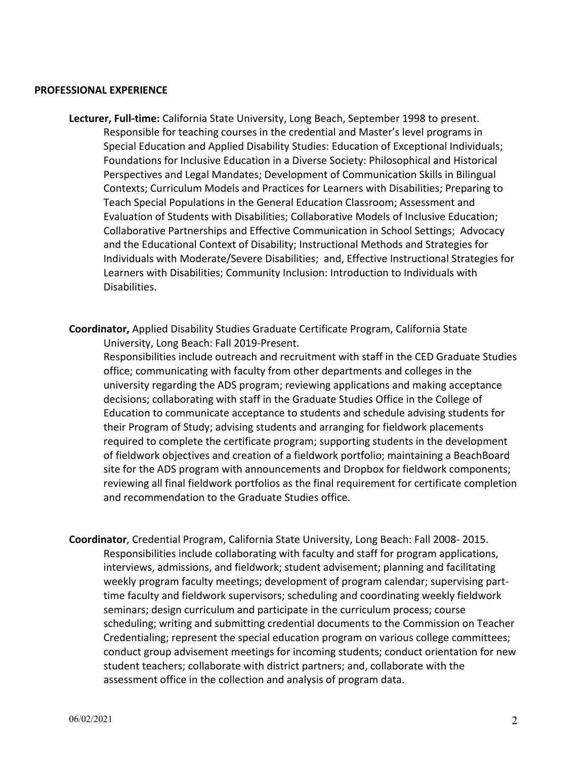#### **PROFESSIONAL EXPERIENCE**

- **Lecturer, Full-time:** California State University, Long Beach, September 1998 to present. Responsible for teaching courses in the credential and Master's level programs in Special Education and Applied Disability Studies: Education of Exceptional Individuals; Foundations for Inclusive Education in a Diverse Society: Philosophical and Historical Perspectives and Legal Mandates; Development of Communication Skills in Bilingual Contexts; Curriculum Models and Practices for Learners with Disabilities; Preparing to Teach Special Populations in the General Education Classroom; Assessment and Evaluation of Students with Disabilities; Collaborative Models of Inclusive Education; Collaborative Partnerships and Effective Communication in School Settings; Advocacy and the Educational Context of Disability; Instructional Methods and Strategies for Individuals with Moderate/Severe Disabilities; and, Effective Instructional Strategies for Learners with Disabilities; Community Inclusion: Introduction to Individuals with Disabilities.
- **Coordinator,** Applied Disability Studies Graduate Certificate Program, California State University, Long Beach: Fall 2019-Present.

Responsibilities include outreach and recruitment with staff in the CED Graduate Studies office; communicating with faculty from other departments and colleges in the university regarding the ADS program; reviewing applications and making acceptance decisions; collaborating with staff in the Graduate Studies Office in the College of Education to communicate acceptance to students and schedule advising students for their Program of Study; advising students and arranging for fieldwork placements required to complete the certificate program; supporting students in the development of fieldwork objectives and creation of a fieldwork portfolio; maintaining a BeachBoard site for the ADS program with announcements and Dropbox for fieldwork components; reviewing all final fieldwork portfolios as the final requirement for certificate completion and recommendation to the Graduate Studies office.

**Coordinator**, Credential Program, California State University, Long Beach: Fall 2008- 2015. Responsibilities include collaborating with faculty and staff for program applications, interviews, admissions, and fieldwork; student advisement; planning and facilitating weekly program faculty meetings; development of program calendar; supervising parttime faculty and fieldwork supervisors; scheduling and coordinating weekly fieldwork seminars; design curriculum and participate in the curriculum process; course scheduling; writing and submitting credential documents to the Commission on Teacher Credentialing; represent the special education program on various college committees; conduct group advisement meetings for incoming students; conduct orientation for new student teachers; collaborate with district partners; and, collaborate with the assessment office in the collection and analysis of program data.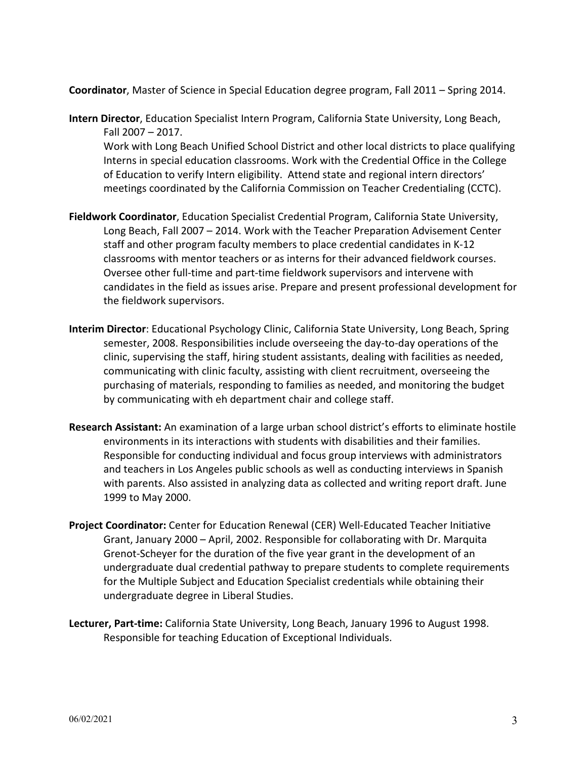**Coordinator**, Master of Science in Special Education degree program, Fall 2011 – Spring 2014.

- **Intern Director**, Education Specialist Intern Program, California State University, Long Beach, Fall 2007 – 2017. Work with Long Beach Unified School District and other local districts to place qualifying Interns in special education classrooms. Work with the Credential Office in the College of Education to verify Intern eligibility. Attend state and regional intern directors' meetings coordinated by the California Commission on Teacher Credentialing (CCTC).
- **Fieldwork Coordinator**, Education Specialist Credential Program, California State University, Long Beach, Fall 2007 – 2014. Work with the Teacher Preparation Advisement Center staff and other program faculty members to place credential candidates in K-12 classrooms with mentor teachers or as interns for their advanced fieldwork courses. Oversee other full-time and part-time fieldwork supervisors and intervene with candidates in the field as issues arise. Prepare and present professional development for the fieldwork supervisors.
- **Interim Director**: Educational Psychology Clinic, California State University, Long Beach, Spring semester, 2008. Responsibilities include overseeing the day-to-day operations of the clinic, supervising the staff, hiring student assistants, dealing with facilities as needed, communicating with clinic faculty, assisting with client recruitment, overseeing the purchasing of materials, responding to families as needed, and monitoring the budget by communicating with eh department chair and college staff.
- **Research Assistant:** An examination of a large urban school district's efforts to eliminate hostile environments in its interactions with students with disabilities and their families. Responsible for conducting individual and focus group interviews with administrators and teachers in Los Angeles public schools as well as conducting interviews in Spanish with parents. Also assisted in analyzing data as collected and writing report draft. June 1999 to May 2000.
- **Project Coordinator:** Center for Education Renewal (CER) Well-Educated Teacher Initiative Grant, January 2000 – April, 2002. Responsible for collaborating with Dr. Marquita Grenot-Scheyer for the duration of the five year grant in the development of an undergraduate dual credential pathway to prepare students to complete requirements for the Multiple Subject and Education Specialist credentials while obtaining their undergraduate degree in Liberal Studies.
- **Lecturer, Part-time:** California State University, Long Beach, January 1996 to August 1998. Responsible for teaching Education of Exceptional Individuals.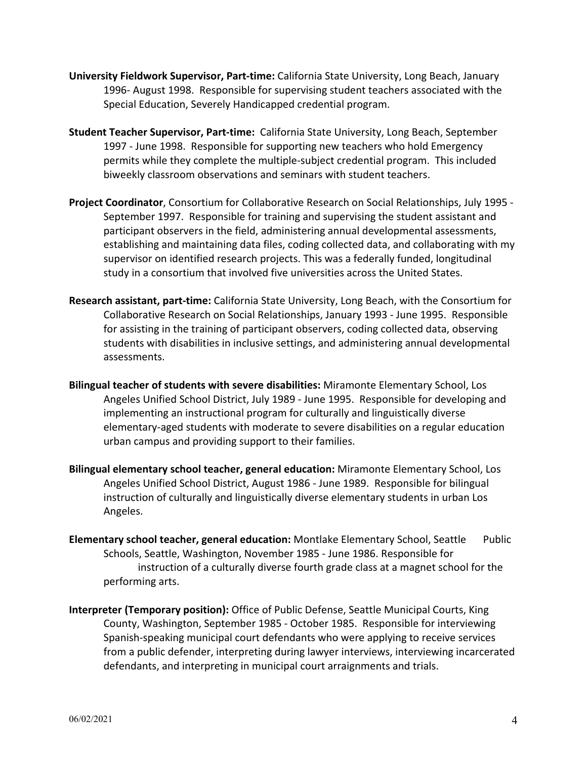- **University Fieldwork Supervisor, Part-time:** California State University, Long Beach, January 1996- August 1998. Responsible for supervising student teachers associated with the Special Education, Severely Handicapped credential program.
- **Student Teacher Supervisor, Part-time:** California State University, Long Beach, September 1997 - June 1998. Responsible for supporting new teachers who hold Emergency permits while they complete the multiple-subject credential program. This included biweekly classroom observations and seminars with student teachers.
- **Project Coordinator**, Consortium for Collaborative Research on Social Relationships, July 1995 September 1997. Responsible for training and supervising the student assistant and participant observers in the field, administering annual developmental assessments, establishing and maintaining data files, coding collected data, and collaborating with my supervisor on identified research projects. This was a federally funded, longitudinal study in a consortium that involved five universities across the United States.
- **Research assistant, part-time:** California State University, Long Beach, with the Consortium for Collaborative Research on Social Relationships, January 1993 - June 1995. Responsible for assisting in the training of participant observers, coding collected data, observing students with disabilities in inclusive settings, and administering annual developmental assessments.
- **Bilingual teacher of students with severe disabilities:** Miramonte Elementary School, Los Angeles Unified School District, July 1989 - June 1995. Responsible for developing and implementing an instructional program for culturally and linguistically diverse elementary-aged students with moderate to severe disabilities on a regular education urban campus and providing support to their families.
- **Bilingual elementary school teacher, general education:** Miramonte Elementary School, Los Angeles Unified School District, August 1986 - June 1989. Responsible for bilingual instruction of culturally and linguistically diverse elementary students in urban Los Angeles.
- **Elementary school teacher, general education:** Montlake Elementary School, Seattle Public Schools, Seattle, Washington, November 1985 - June 1986. Responsible for instruction of a culturally diverse fourth grade class at a magnet school for the performing arts.
- **Interpreter (Temporary position):** Office of Public Defense, Seattle Municipal Courts, King County, Washington, September 1985 - October 1985. Responsible for interviewing Spanish-speaking municipal court defendants who were applying to receive services from a public defender, interpreting during lawyer interviews, interviewing incarcerated defendants, and interpreting in municipal court arraignments and trials.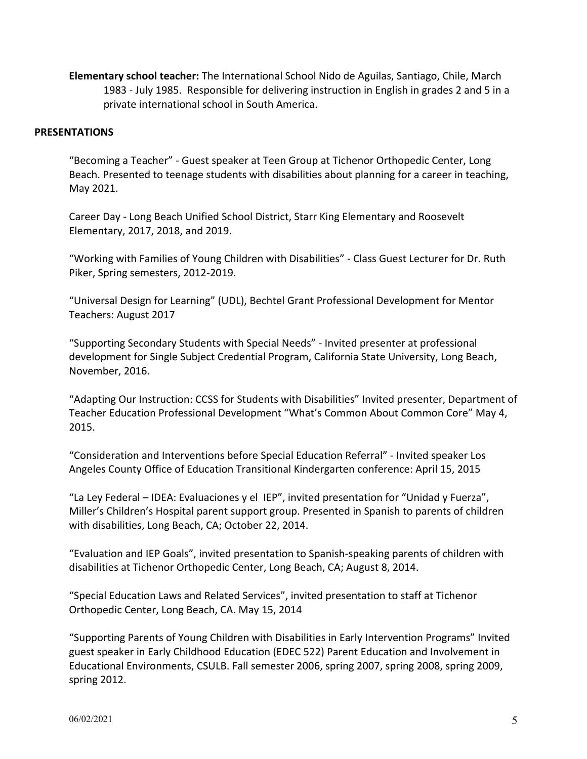**Elementary school teacher:** The International School Nido de Aguilas, Santiago, Chile, March 1983 - July 1985. Responsible for delivering instruction in English in grades 2 and 5 in a private international school in South America.

# **PRESENTATIONS**

"Becoming a Teacher" - Guest speaker at Teen Group at Tichenor Orthopedic Center, Long Beach. Presented to teenage students with disabilities about planning for a career in teaching, May 2021.

Career Day - Long Beach Unified School District, Starr King Elementary and Roosevelt Elementary, 2017, 2018, and 2019.

"Working with Families of Young Children with Disabilities" - Class Guest Lecturer for Dr. Ruth Piker, Spring semesters, 2012-2019.

"Universal Design for Learning" (UDL), Bechtel Grant Professional Development for Mentor Teachers: August 2017

"Supporting Secondary Students with Special Needs" - Invited presenter at professional development for Single Subject Credential Program, California State University, Long Beach, November, 2016.

"Adapting Our Instruction: CCSS for Students with Disabilities" Invited presenter, Department of Teacher Education Professional Development "What's Common About Common Core" May 4, 2015.

"Consideration and Interventions before Special Education Referral" - Invited speaker Los Angeles County Office of Education Transitional Kindergarten conference: April 15, 2015

"La Ley Federal – IDEA: Evaluaciones y el IEP", invited presentation for "Unidad y Fuerza", Miller's Children's Hospital parent support group. Presented in Spanish to parents of children with disabilities, Long Beach, CA; October 22, 2014.

"Evaluation and IEP Goals", invited presentation to Spanish-speaking parents of children with disabilities at Tichenor Orthopedic Center, Long Beach, CA; August 8, 2014.

"Special Education Laws and Related Services", invited presentation to staff at Tichenor Orthopedic Center, Long Beach, CA. May 15, 2014

"Supporting Parents of Young Children with Disabilities in Early Intervention Programs" Invited guest speaker in Early Childhood Education (EDEC 522) Parent Education and Involvement in Educational Environments, CSULB. Fall semester 2006, spring 2007, spring 2008, spring 2009, spring 2012.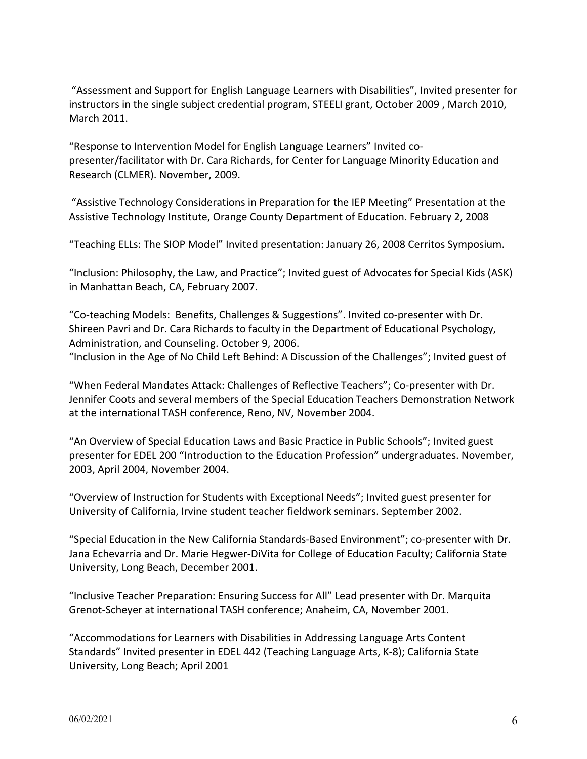"Assessment and Support for English Language Learners with Disabilities", Invited presenter for instructors in the single subject credential program, STEELI grant, October 2009 , March 2010, March 2011.

"Response to Intervention Model for English Language Learners" Invited copresenter/facilitator with Dr. Cara Richards, for Center for Language Minority Education and Research (CLMER). November, 2009.

"Assistive Technology Considerations in Preparation for the IEP Meeting" Presentation at the Assistive Technology Institute, Orange County Department of Education. February 2, 2008

"Teaching ELLs: The SIOP Model" Invited presentation: January 26, 2008 Cerritos Symposium.

"Inclusion: Philosophy, the Law, and Practice"; Invited guest of Advocates for Special Kids (ASK) in Manhattan Beach, CA, February 2007.

"Co-teaching Models: Benefits, Challenges & Suggestions". Invited co-presenter with Dr. Shireen Pavri and Dr. Cara Richards to faculty in the Department of Educational Psychology, Administration, and Counseling. October 9, 2006. "Inclusion in the Age of No Child Left Behind: A Discussion of the Challenges"; Invited guest of

"When Federal Mandates Attack: Challenges of Reflective Teachers"; Co-presenter with Dr. Jennifer Coots and several members of the Special Education Teachers Demonstration Network at the international TASH conference, Reno, NV, November 2004.

"An Overview of Special Education Laws and Basic Practice in Public Schools"; Invited guest presenter for EDEL 200 "Introduction to the Education Profession" undergraduates. November, 2003, April 2004, November 2004.

"Overview of Instruction for Students with Exceptional Needs"; Invited guest presenter for University of California, Irvine student teacher fieldwork seminars. September 2002.

"Special Education in the New California Standards-Based Environment"; co-presenter with Dr. Jana Echevarria and Dr. Marie Hegwer-DiVita for College of Education Faculty; California State University, Long Beach, December 2001.

"Inclusive Teacher Preparation: Ensuring Success for All" Lead presenter with Dr. Marquita Grenot-Scheyer at international TASH conference; Anaheim, CA, November 2001.

"Accommodations for Learners with Disabilities in Addressing Language Arts Content Standards" Invited presenter in EDEL 442 (Teaching Language Arts, K-8); California State University, Long Beach; April 2001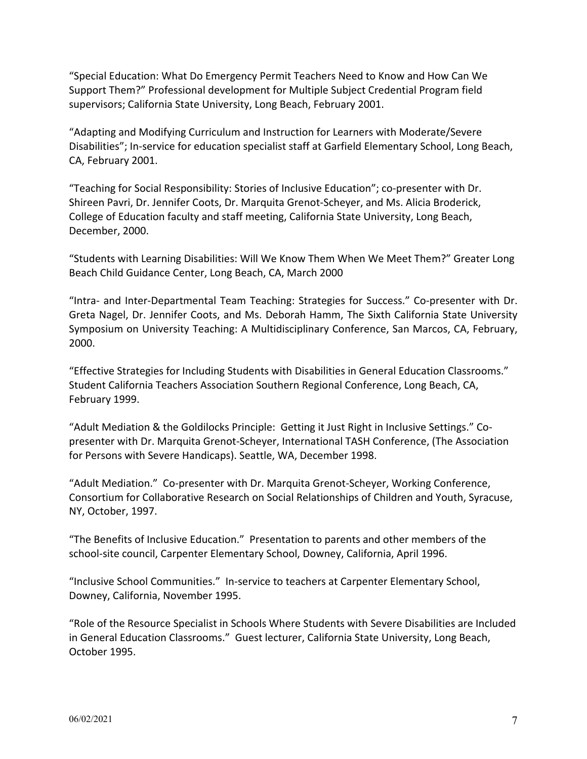"Special Education: What Do Emergency Permit Teachers Need to Know and How Can We Support Them?" Professional development for Multiple Subject Credential Program field supervisors; California State University, Long Beach, February 2001.

"Adapting and Modifying Curriculum and Instruction for Learners with Moderate/Severe Disabilities"; In-service for education specialist staff at Garfield Elementary School, Long Beach, CA, February 2001.

"Teaching for Social Responsibility: Stories of Inclusive Education"; co-presenter with Dr. Shireen Pavri, Dr. Jennifer Coots, Dr. Marquita Grenot-Scheyer, and Ms. Alicia Broderick, College of Education faculty and staff meeting, California State University, Long Beach, December, 2000.

"Students with Learning Disabilities: Will We Know Them When We Meet Them?" Greater Long Beach Child Guidance Center, Long Beach, CA, March 2000

"Intra- and Inter-Departmental Team Teaching: Strategies for Success." Co-presenter with Dr. Greta Nagel, Dr. Jennifer Coots, and Ms. Deborah Hamm, The Sixth California State University Symposium on University Teaching: A Multidisciplinary Conference, San Marcos, CA, February, 2000.

"Effective Strategies for Including Students with Disabilities in General Education Classrooms." Student California Teachers Association Southern Regional Conference, Long Beach, CA, February 1999.

"Adult Mediation & the Goldilocks Principle: Getting it Just Right in Inclusive Settings." Copresenter with Dr. Marquita Grenot-Scheyer, International TASH Conference, (The Association for Persons with Severe Handicaps). Seattle, WA, December 1998.

"Adult Mediation." Co-presenter with Dr. Marquita Grenot-Scheyer, Working Conference, Consortium for Collaborative Research on Social Relationships of Children and Youth, Syracuse, NY, October, 1997.

"The Benefits of Inclusive Education." Presentation to parents and other members of the school-site council, Carpenter Elementary School, Downey, California, April 1996.

"Inclusive School Communities." In-service to teachers at Carpenter Elementary School, Downey, California, November 1995.

"Role of the Resource Specialist in Schools Where Students with Severe Disabilities are Included in General Education Classrooms." Guest lecturer, California State University, Long Beach, October 1995.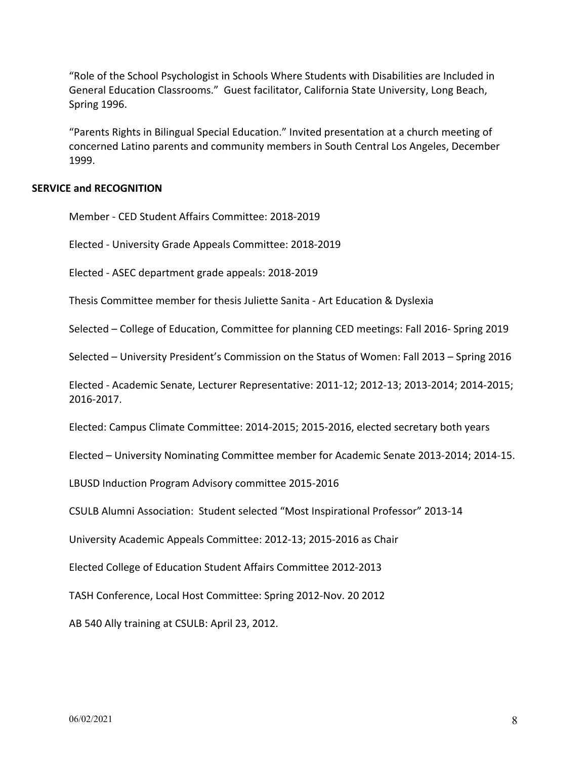"Role of the School Psychologist in Schools Where Students with Disabilities are Included in General Education Classrooms." Guest facilitator, California State University, Long Beach, Spring 1996.

"Parents Rights in Bilingual Special Education." Invited presentation at a church meeting of concerned Latino parents and community members in South Central Los Angeles, December 1999.

# **SERVICE and RECOGNITION**

Member - CED Student Affairs Committee: 2018-2019

Elected - University Grade Appeals Committee: 2018-2019

Elected - ASEC department grade appeals: 2018-2019

Thesis Committee member for thesis Juliette Sanita - Art Education & Dyslexia

Selected – College of Education, Committee for planning CED meetings: Fall 2016- Spring 2019

Selected – University President's Commission on the Status of Women: Fall 2013 – Spring 2016

Elected - Academic Senate, Lecturer Representative: 2011-12; 2012-13; 2013-2014; 2014-2015; 2016-2017.

Elected: Campus Climate Committee: 2014-2015; 2015-2016, elected secretary both years

Elected – University Nominating Committee member for Academic Senate 2013-2014; 2014-15.

LBUSD Induction Program Advisory committee 2015-2016

CSULB Alumni Association: Student selected "Most Inspirational Professor" 2013-14

University Academic Appeals Committee: 2012-13; 2015-2016 as Chair

Elected College of Education Student Affairs Committee 2012-2013

TASH Conference, Local Host Committee: Spring 2012-Nov. 20 2012

AB 540 Ally training at CSULB: April 23, 2012.